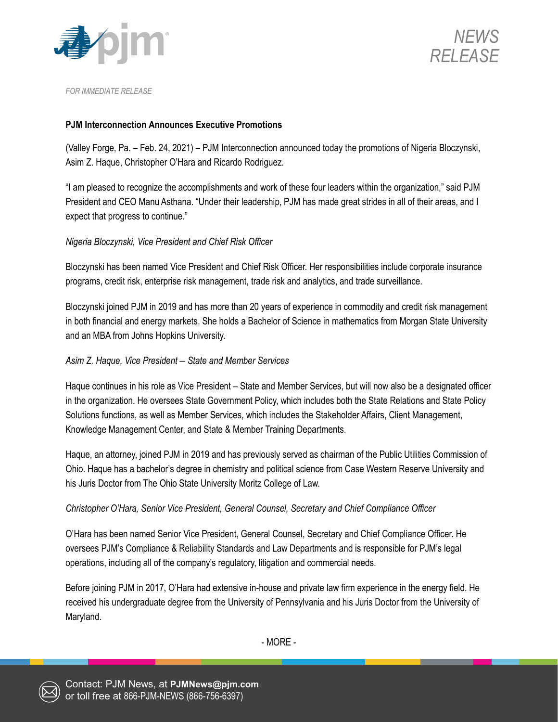



*FOR IMMEDIATE RELEASE*

### **PJM Interconnection Announces Executive Promotions**

(Valley Forge, Pa. – Feb. 24, 2021) – PJM Interconnection announced today the promotions of Nigeria Bloczynski, Asim Z. Haque, Christopher O'Hara and Ricardo Rodriguez.

"I am pleased to recognize the accomplishments and work of these four leaders within the organization," said PJM President and CEO Manu Asthana. "Under their leadership, PJM has made great strides in all of their areas, and I expect that progress to continue."

### *Nigeria Bloczynski, Vice President and Chief Risk Officer*

Bloczynski has been named Vice President and Chief Risk Officer. Her responsibilities include corporate insurance programs, credit risk, enterprise risk management, trade risk and analytics, and trade surveillance.

Bloczynski joined PJM in 2019 and has more than 20 years of experience in commodity and credit risk management in both financial and energy markets. She holds a Bachelor of Science in mathematics from Morgan State University and an MBA from Johns Hopkins University.

### *Asim Z. Haque, Vice President – State and Member Services*

Haque continues in his role as Vice President – State and Member Services, but will now also be a designated officer in the organization. He oversees State Government Policy, which includes both the State Relations and State Policy Solutions functions, as well as Member Services, which includes the Stakeholder Affairs, Client Management, Knowledge Management Center, and State & Member Training Departments.

Haque, an attorney, joined PJM in 2019 and has previously served as chairman of the Public Utilities Commission of Ohio. Haque has a bachelor's degree in chemistry and political science from Case Western Reserve University and his Juris Doctor from The Ohio State University Moritz College of Law.

# *Christopher O'Hara, Senior Vice President, General Counsel, Secretary and Chief Compliance Officer*

O'Hara has been named Senior Vice President, General Counsel, Secretary and Chief Compliance Officer. He oversees PJM's Compliance & Reliability Standards and Law Departments and is responsible for PJM's legal operations, including all of the company's regulatory, litigation and commercial needs.

Before joining PJM in 2017, O'Hara had extensive in-house and private law firm experience in the energy field. He received his undergraduate degree from the University of Pennsylvania and his Juris Doctor from the University of Maryland.

- MORE -